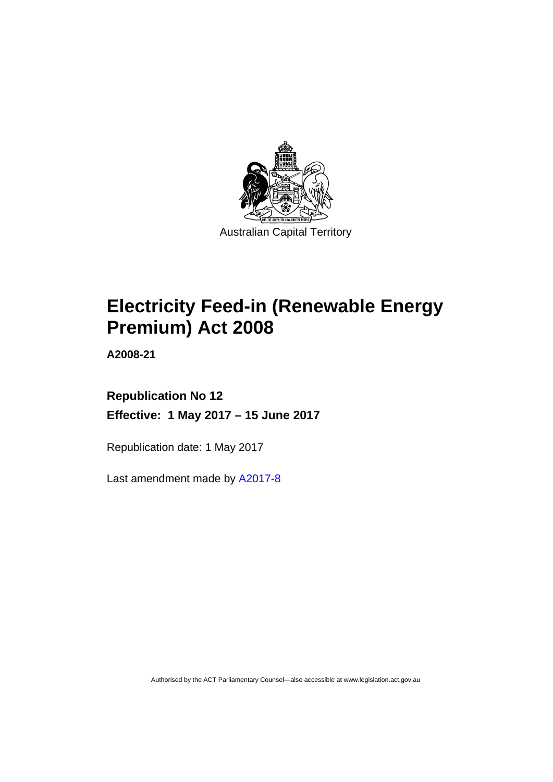

# **Electricity Feed-in (Renewable Energy Premium) Act 2008**

**A2008-21** 

### **Republication No 12 Effective: 1 May 2017 – 15 June 2017**

Republication date: 1 May 2017

Last amendment made by [A2017-8](http://www.legislation.act.gov.au/a/2017-8/default.asp)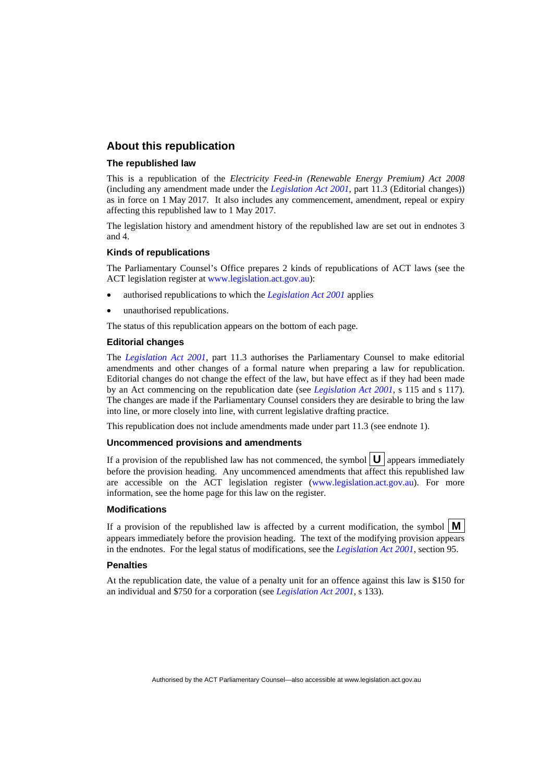#### **About this republication**

#### **The republished law**

This is a republication of the *Electricity Feed-in (Renewable Energy Premium) Act 2008* (including any amendment made under the *[Legislation Act 2001](http://www.legislation.act.gov.au/a/2001-14)*, part 11.3 (Editorial changes)) as in force on 1 May 2017*.* It also includes any commencement, amendment, repeal or expiry affecting this republished law to 1 May 2017.

The legislation history and amendment history of the republished law are set out in endnotes 3 and 4.

#### **Kinds of republications**

The Parliamentary Counsel's Office prepares 2 kinds of republications of ACT laws (see the ACT legislation register at [www.legislation.act.gov.au](http://www.legislation.act.gov.au/)):

- authorised republications to which the *[Legislation Act 2001](http://www.legislation.act.gov.au/a/2001-14)* applies
- unauthorised republications.

The status of this republication appears on the bottom of each page.

#### **Editorial changes**

The *[Legislation Act 2001](http://www.legislation.act.gov.au/a/2001-14)*, part 11.3 authorises the Parliamentary Counsel to make editorial amendments and other changes of a formal nature when preparing a law for republication. Editorial changes do not change the effect of the law, but have effect as if they had been made by an Act commencing on the republication date (see *[Legislation Act 2001](http://www.legislation.act.gov.au/a/2001-14)*, s 115 and s 117). The changes are made if the Parliamentary Counsel considers they are desirable to bring the law into line, or more closely into line, with current legislative drafting practice.

This republication does not include amendments made under part 11.3 (see endnote 1).

#### **Uncommenced provisions and amendments**

If a provision of the republished law has not commenced, the symbol  $\mathbf{U}$  appears immediately before the provision heading. Any uncommenced amendments that affect this republished law are accessible on the ACT legislation register [\(www.legislation.act.gov.au\)](http://www.legislation.act.gov.au/). For more information, see the home page for this law on the register.

#### **Modifications**

If a provision of the republished law is affected by a current modification, the symbol  $\mathbf{M}$ appears immediately before the provision heading. The text of the modifying provision appears in the endnotes. For the legal status of modifications, see the *[Legislation Act 2001](http://www.legislation.act.gov.au/a/2001-14)*, section 95.

#### **Penalties**

At the republication date, the value of a penalty unit for an offence against this law is \$150 for an individual and \$750 for a corporation (see *[Legislation Act 2001](http://www.legislation.act.gov.au/a/2001-14)*, s 133).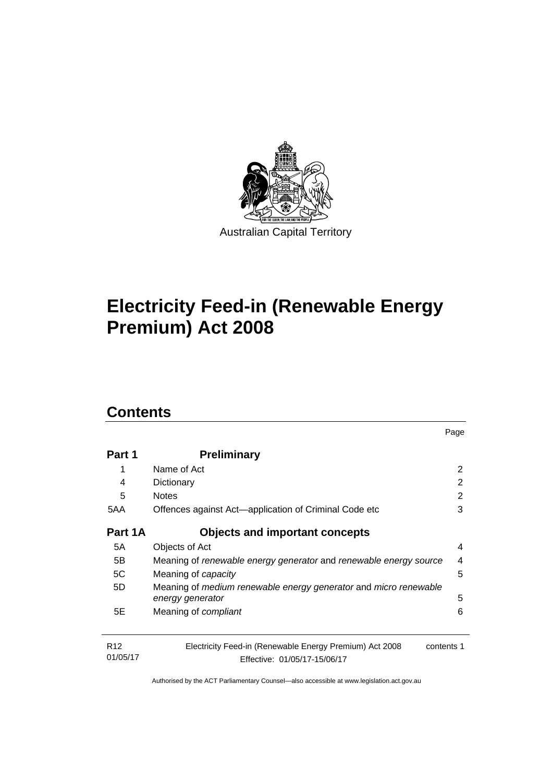

# **Electricity Feed-in (Renewable Energy Premium) Act 2008**

### **Contents**

| Part 1                      | <b>Preliminary</b>                                                                                    |   |
|-----------------------------|-------------------------------------------------------------------------------------------------------|---|
| 1                           | Name of Act                                                                                           | 2 |
| 4                           | Dictionary                                                                                            | 2 |
| 5                           | <b>Notes</b>                                                                                          | 2 |
| 5AA                         | Offences against Act—application of Criminal Code etc                                                 | 3 |
| Part 1A                     | <b>Objects and important concepts</b>                                                                 |   |
| 5A                          | Objects of Act                                                                                        | 4 |
| 5B                          | Meaning of renewable energy generator and renewable energy source                                     |   |
| 5C                          | Meaning of <i>capacity</i>                                                                            | 5 |
| 5D                          | Meaning of medium renewable energy generator and micro renewable<br>energy generator                  | 5 |
| 5E                          | Meaning of <i>compliant</i>                                                                           | 6 |
| R <sub>12</sub><br>01/05/17 | Electricity Feed-in (Renewable Energy Premium) Act 2008<br>contents 1<br>Effective: 01/05/17-15/06/17 |   |

Page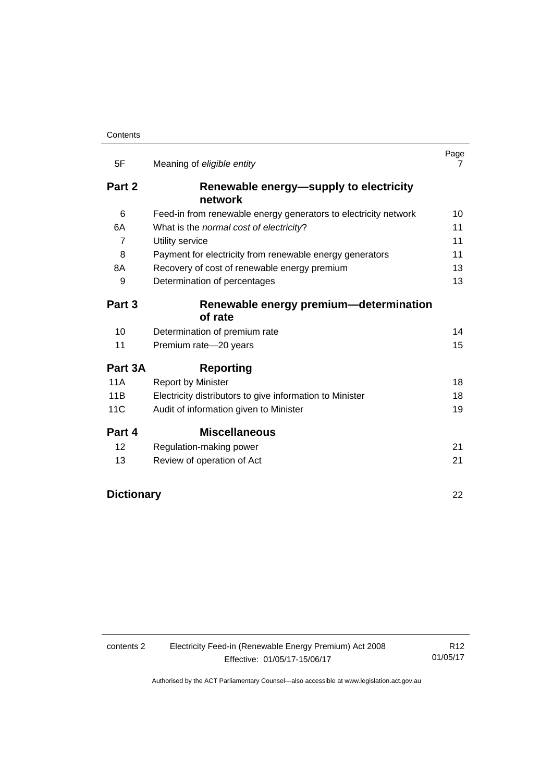| 5F                | Meaning of eligible entity                                      | Page<br>7 |
|-------------------|-----------------------------------------------------------------|-----------|
| Part 2            | Renewable energy-supply to electricity<br>network               |           |
| 6                 | Feed-in from renewable energy generators to electricity network | 10        |
| 6A                | What is the normal cost of electricity?                         | 11        |
| 7                 | Utility service                                                 | 11        |
| 8                 | Payment for electricity from renewable energy generators        | 11        |
| 8A                | Recovery of cost of renewable energy premium                    | 13        |
| 9                 | Determination of percentages                                    | 13        |
| Part 3            | Renewable energy premium-determination<br>of rate               |           |
|                   |                                                                 |           |
| 10                | Determination of premium rate                                   | 14        |
| 11                | Premium rate-20 years                                           | 15        |
| Part 3A           | <b>Reporting</b>                                                |           |
| 11A               | <b>Report by Minister</b>                                       | 18        |
| 11B               | Electricity distributors to give information to Minister        | 18        |
| 11C               | Audit of information given to Minister                          | 19        |
| Part 4            | <b>Miscellaneous</b>                                            |           |
| 12                | Regulation-making power                                         | 21        |
| 13                | Review of operation of Act                                      | 21        |
| <b>Dictionary</b> |                                                                 | 22        |

| contents 2 |  |
|------------|--|
|------------|--|

2 Electricity Feed-in (Renewable Energy Premium) Act 2008 Effective: 01/05/17-15/06/17

R12 01/05/17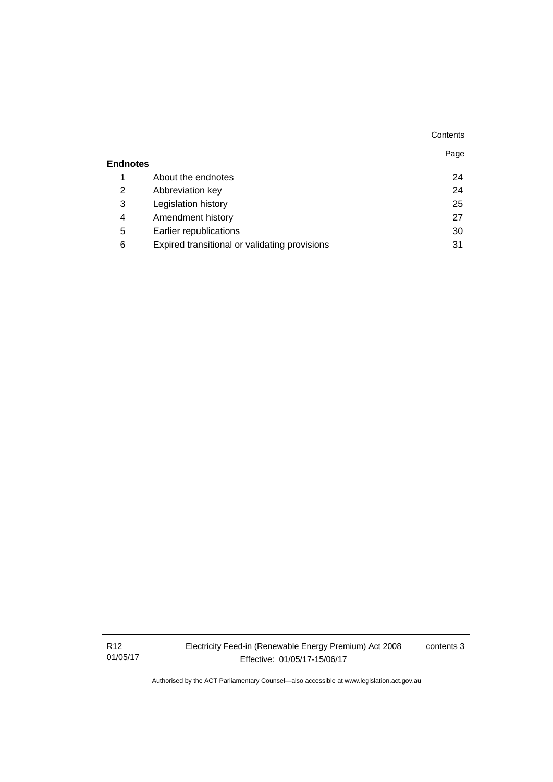|                 |                                               | Contents |
|-----------------|-----------------------------------------------|----------|
|                 |                                               | Page     |
| <b>Endnotes</b> |                                               |          |
| 1               | About the endnotes                            | 24       |
| 2               | Abbreviation key                              | 24       |
| 3               | Legislation history                           | 25       |
| 4               | Amendment history                             | 27       |
| 5               | Earlier republications                        | 30       |
| 6               | Expired transitional or validating provisions | 31       |

R12 01/05/17 Electricity Feed-in (Renewable Energy Premium) Act 2008 Effective: 01/05/17-15/06/17

contents 3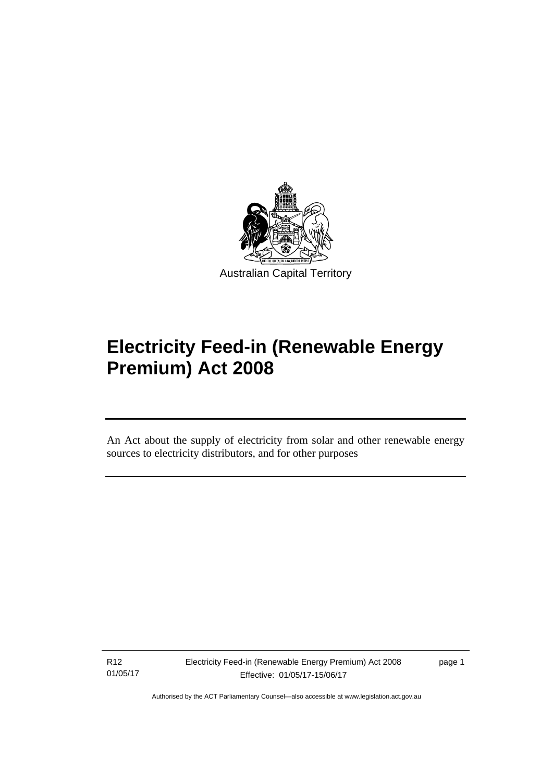

# **Electricity Feed-in (Renewable Energy Premium) Act 2008**

An Act about the supply of electricity from solar and other renewable energy sources to electricity distributors, and for other purposes

R12 01/05/17

l

page 1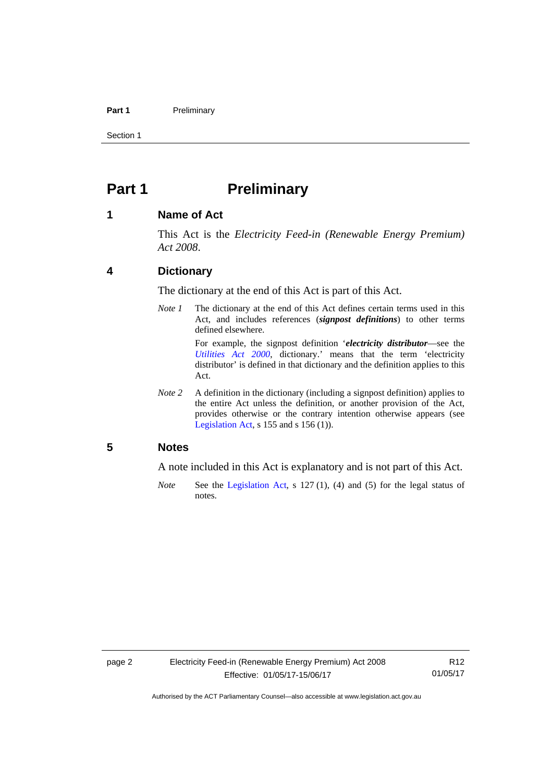#### Part 1 **Preliminary**

Section 1

### <span id="page-7-0"></span>**Part 1** Preliminary

#### <span id="page-7-1"></span>**1 Name of Act**

This Act is the *Electricity Feed-in (Renewable Energy Premium) Act 2008*.

#### <span id="page-7-2"></span>**4 Dictionary**

The dictionary at the end of this Act is part of this Act.

*Note 1* The dictionary at the end of this Act defines certain terms used in this Act, and includes references (*signpost definitions*) to other terms defined elsewhere.

> For example, the signpost definition '*electricity distributor*—see the *[Utilities Act 2000](http://www.legislation.act.gov.au/a/2000-65)*, dictionary.' means that the term 'electricity distributor' is defined in that dictionary and the definition applies to this Act.

*Note 2* A definition in the dictionary (including a signpost definition) applies to the entire Act unless the definition, or another provision of the Act, provides otherwise or the contrary intention otherwise appears (see [Legislation Act,](http://www.legislation.act.gov.au/a/2001-14) s  $155$  and s  $156$  (1)).

#### <span id="page-7-3"></span>**5 Notes**

A note included in this Act is explanatory and is not part of this Act.

*Note* See the [Legislation Act,](http://www.legislation.act.gov.au/a/2001-14) s 127 (1), (4) and (5) for the legal status of notes.

R12 01/05/17

Authorised by the ACT Parliamentary Counsel—also accessible at www.legislation.act.gov.au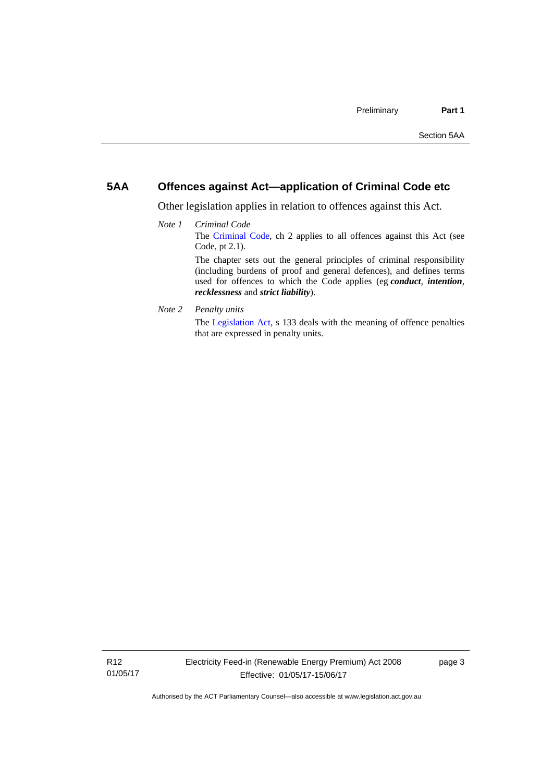#### <span id="page-8-0"></span>**5AA Offences against Act—application of Criminal Code etc**

Other legislation applies in relation to offences against this Act.

- *Note 1 Criminal Code* The [Criminal Code](http://www.legislation.act.gov.au/a/2002-51), ch 2 applies to all offences against this Act (see Code, pt 2.1). The chapter sets out the general principles of criminal responsibility (including burdens of proof and general defences), and defines terms used for offences to which the Code applies (eg *conduct*, *intention*, *recklessness* and *strict liability*).
- *Note 2 Penalty units*

The [Legislation Act](http://www.legislation.act.gov.au/a/2001-14), s 133 deals with the meaning of offence penalties that are expressed in penalty units.

page 3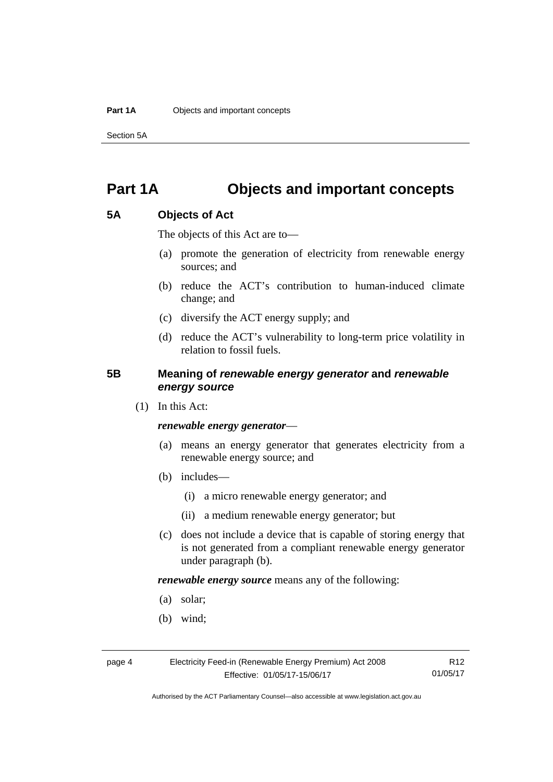Section 5A

### <span id="page-9-0"></span>**Part 1A Objects and important concepts**

#### <span id="page-9-1"></span>**5A Objects of Act**

The objects of this Act are to—

- (a) promote the generation of electricity from renewable energy sources; and
- (b) reduce the ACT's contribution to human-induced climate change; and
- (c) diversify the ACT energy supply; and
- (d) reduce the ACT's vulnerability to long-term price volatility in relation to fossil fuels.

#### <span id="page-9-2"></span>**5B Meaning of** *renewable energy generator* **and** *renewable energy source*

(1) In this Act:

#### *renewable energy generator*—

- (a) means an energy generator that generates electricity from a renewable energy source; and
- (b) includes—
	- (i) a micro renewable energy generator; and
	- (ii) a medium renewable energy generator; but
- (c) does not include a device that is capable of storing energy that is not generated from a compliant renewable energy generator under paragraph (b).

*renewable energy source* means any of the following:

- (a) solar;
- (b) wind;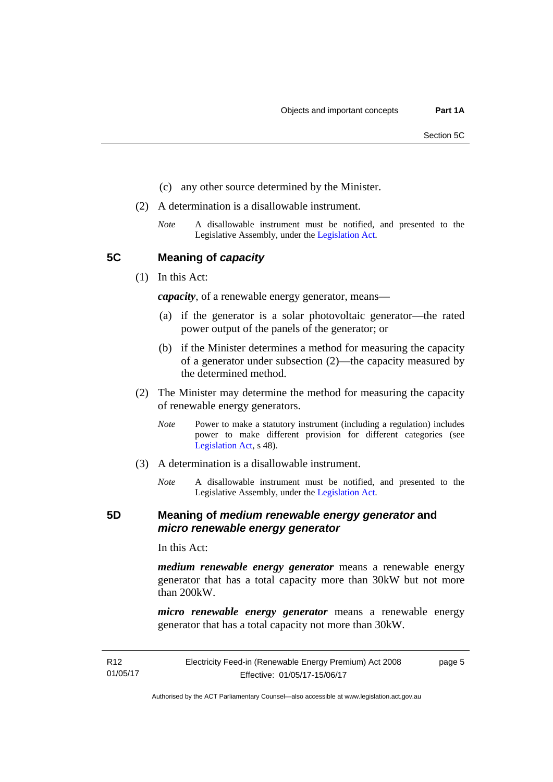- (c) any other source determined by the Minister.
- (2) A determination is a disallowable instrument.
	- *Note* A disallowable instrument must be notified, and presented to the Legislative Assembly, under the [Legislation Act.](http://www.legislation.act.gov.au/a/2001-14)

<span id="page-10-0"></span>**5C Meaning of** *capacity*

(1) In this Act:

*capacity*, of a renewable energy generator, means—

- (a) if the generator is a solar photovoltaic generator—the rated power output of the panels of the generator; or
- (b) if the Minister determines a method for measuring the capacity of a generator under subsection (2)—the capacity measured by the determined method.
- (2) The Minister may determine the method for measuring the capacity of renewable energy generators.
	- *Note* Power to make a statutory instrument (including a regulation) includes power to make different provision for different categories (see [Legislation Act,](http://www.legislation.act.gov.au/a/2001-14) s 48).
- (3) A determination is a disallowable instrument.
	- *Note* A disallowable instrument must be notified, and presented to the Legislative Assembly, under the [Legislation Act.](http://www.legislation.act.gov.au/a/2001-14)

#### <span id="page-10-1"></span>**5D Meaning of** *medium renewable energy generator* **and**  *micro renewable energy generator*

In this Act:

*medium renewable energy generator* means a renewable energy generator that has a total capacity more than 30kW but not more than 200kW.

*micro renewable energy generator* means a renewable energy generator that has a total capacity not more than 30kW.

Authorised by the ACT Parliamentary Counsel—also accessible at www.legislation.act.gov.au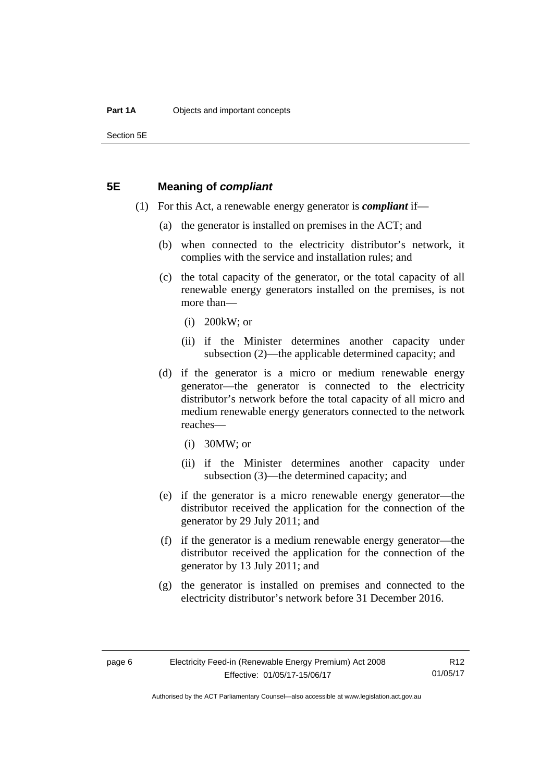Section 5E

#### <span id="page-11-0"></span>**5E Meaning of** *compliant*

- (1) For this Act, a renewable energy generator is *compliant* if—
	- (a) the generator is installed on premises in the ACT; and
	- (b) when connected to the electricity distributor's network, it complies with the service and installation rules; and
	- (c) the total capacity of the generator, or the total capacity of all renewable energy generators installed on the premises, is not more than—
		- (i) 200kW; or
		- (ii) if the Minister determines another capacity under subsection (2)—the applicable determined capacity; and
	- (d) if the generator is a micro or medium renewable energy generator—the generator is connected to the electricity distributor's network before the total capacity of all micro and medium renewable energy generators connected to the network reaches—
		- (i) 30MW; or
		- (ii) if the Minister determines another capacity under subsection (3)—the determined capacity; and
	- (e) if the generator is a micro renewable energy generator—the distributor received the application for the connection of the generator by 29 July 2011; and
	- (f) if the generator is a medium renewable energy generator—the distributor received the application for the connection of the generator by 13 July 2011; and
	- (g) the generator is installed on premises and connected to the electricity distributor's network before 31 December 2016.

R12 01/05/17

Authorised by the ACT Parliamentary Counsel—also accessible at www.legislation.act.gov.au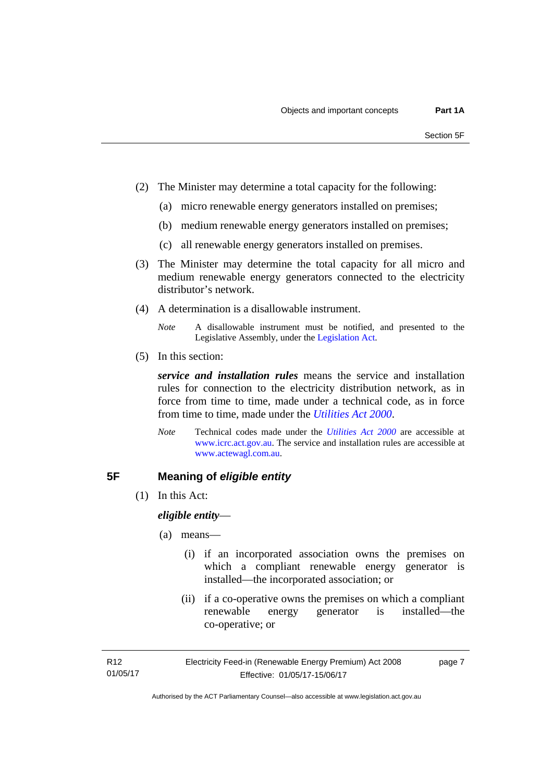- (2) The Minister may determine a total capacity for the following:
	- (a) micro renewable energy generators installed on premises;
	- (b) medium renewable energy generators installed on premises;
	- (c) all renewable energy generators installed on premises.
- (3) The Minister may determine the total capacity for all micro and medium renewable energy generators connected to the electricity distributor's network.
- (4) A determination is a disallowable instrument.
	- *Note* A disallowable instrument must be notified, and presented to the Legislative Assembly, under the [Legislation Act.](http://www.legislation.act.gov.au/a/2001-14)
- (5) In this section:

*service and installation rules* means the service and installation rules for connection to the electricity distribution network, as in force from time to time, made under a technical code, as in force from time to time, made under the *[Utilities Act 2000](http://www.legislation.act.gov.au/a/2000-65)*.

*Note* Technical codes made under the *[Utilities Act 2000](http://www.legislation.act.gov.au/a/2000-65)* are accessible at [www.icrc.act.gov.au.](http://www.icrc.act.gov.au/) The service and installation rules are accessible at [www.actewagl.com.au](http://www.actewagl.com.au/).

### <span id="page-12-0"></span>**5F Meaning of** *eligible entity*

(1) In this Act:

*eligible entity*—

- (a) means—
	- (i) if an incorporated association owns the premises on which a compliant renewable energy generator is installed—the incorporated association; or
	- (ii) if a co-operative owns the premises on which a compliant renewable energy generator is installed—the co-operative; or

page 7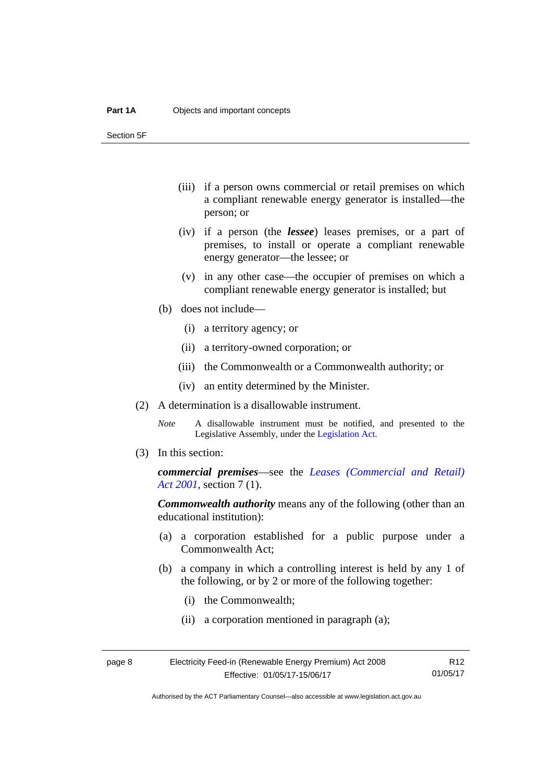Section 5F

- (iii) if a person owns commercial or retail premises on which a compliant renewable energy generator is installed—the person; or
- (iv) if a person (the *lessee*) leases premises, or a part of premises, to install or operate a compliant renewable energy generator—the lessee; or
- (v) in any other case—the occupier of premises on which a compliant renewable energy generator is installed; but
- (b) does not include—
	- (i) a territory agency; or
	- (ii) a territory-owned corporation; or
	- (iii) the Commonwealth or a Commonwealth authority; or
	- (iv) an entity determined by the Minister.
- (2) A determination is a disallowable instrument.
	- *Note* A disallowable instrument must be notified, and presented to the Legislative Assembly, under the [Legislation Act.](http://www.legislation.act.gov.au/a/2001-14)
- (3) In this section:

*commercial premises*—see the *[Leases \(Commercial and Retail\)](http://www.legislation.act.gov.au/a/2001-18)  [Act 2001](http://www.legislation.act.gov.au/a/2001-18)*, section 7 (1).

*Commonwealth authority* means any of the following (other than an educational institution):

- (a) a corporation established for a public purpose under a Commonwealth Act;
- (b) a company in which a controlling interest is held by any 1 of the following, or by 2 or more of the following together:
	- (i) the Commonwealth;
	- (ii) a corporation mentioned in paragraph (a);

| page 8 | Electricity Feed-in (Renewable Energy Premium) Act 2008 | R <sub>12</sub> |
|--------|---------------------------------------------------------|-----------------|
|        | Effective: 01/05/17-15/06/17                            | 01/05/17        |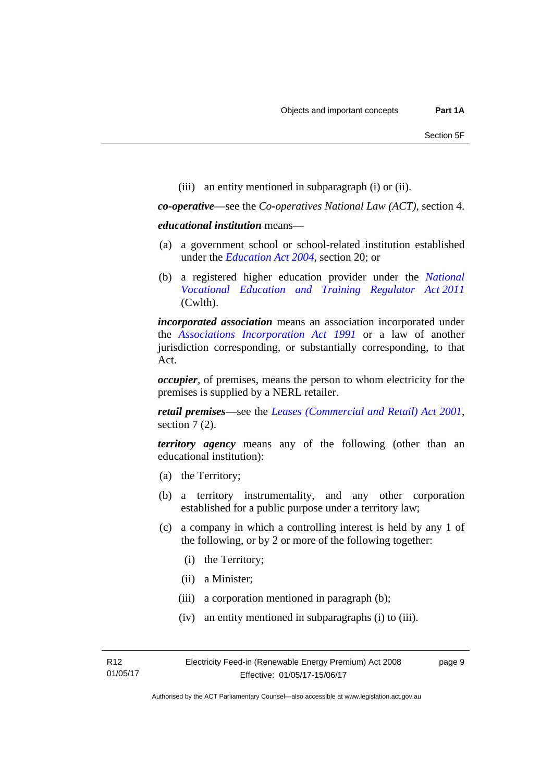(iii) an entity mentioned in subparagraph (i) or (ii).

*co-operative*—see the *Co-operatives National Law (ACT)*, section 4.

*educational institution* means—

- (a) a government school or school-related institution established under the *[Education Act 2004](http://www.legislation.act.gov.au/a/2004-17)*, section 20; or
- (b) a registered higher education provider under the *[National](http://www.comlaw.gov.au/Series/C2011A00012)  [Vocational Education and Training Regulator Act 2011](http://www.comlaw.gov.au/Series/C2011A00012)* (Cwlth).

*incorporated association* means an association incorporated under the *[Associations Incorporation Act 1991](http://www.legislation.act.gov.au/a/1991-46)* or a law of another jurisdiction corresponding, or substantially corresponding, to that Act.

*occupier*, of premises, means the person to whom electricity for the premises is supplied by a NERL retailer.

*retail premises*—see the *[Leases \(Commercial and Retail\) Act 2001](http://www.legislation.act.gov.au/a/2001-18)*, section 7(2).

*territory agency* means any of the following (other than an educational institution):

- (a) the Territory;
- (b) a territory instrumentality, and any other corporation established for a public purpose under a territory law;
- (c) a company in which a controlling interest is held by any 1 of the following, or by 2 or more of the following together:
	- (i) the Territory;
	- (ii) a Minister;

R12 01/05/17

- (iii) a corporation mentioned in paragraph (b);
- (iv) an entity mentioned in subparagraphs (i) to (iii).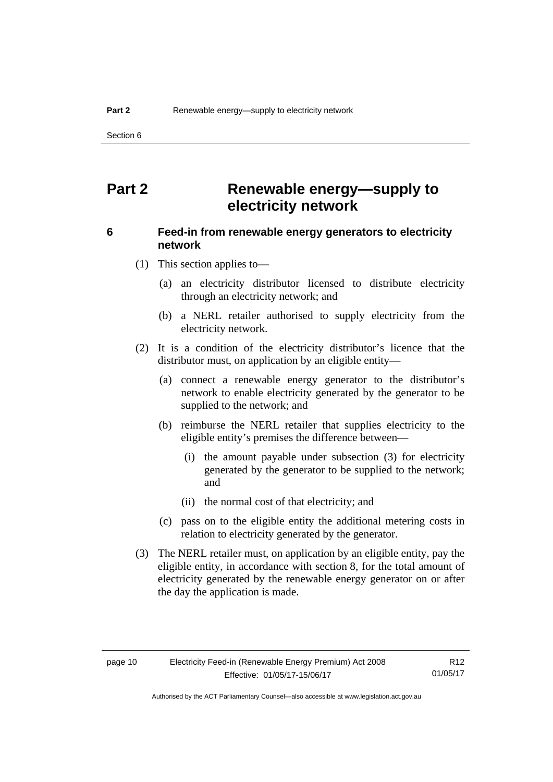Section 6

### <span id="page-15-0"></span>**Part 2 Renewable energy—supply to electricity network**

#### <span id="page-15-1"></span>**6 Feed-in from renewable energy generators to electricity network**

(1) This section applies to—

- (a) an electricity distributor licensed to distribute electricity through an electricity network; and
- (b) a NERL retailer authorised to supply electricity from the electricity network.
- (2) It is a condition of the electricity distributor's licence that the distributor must, on application by an eligible entity—
	- (a) connect a renewable energy generator to the distributor's network to enable electricity generated by the generator to be supplied to the network; and
	- (b) reimburse the NERL retailer that supplies electricity to the eligible entity's premises the difference between—
		- (i) the amount payable under subsection (3) for electricity generated by the generator to be supplied to the network; and
		- (ii) the normal cost of that electricity; and
	- (c) pass on to the eligible entity the additional metering costs in relation to electricity generated by the generator.
- (3) The NERL retailer must, on application by an eligible entity, pay the eligible entity, in accordance with section 8, for the total amount of electricity generated by the renewable energy generator on or after the day the application is made.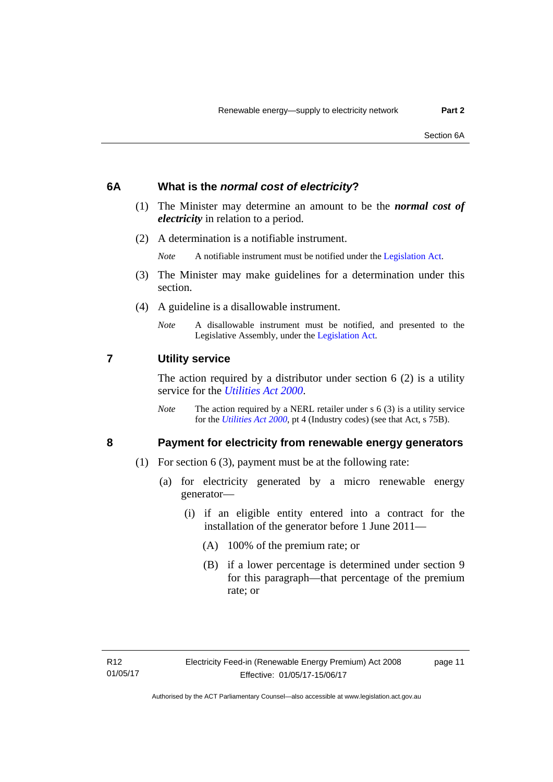#### <span id="page-16-0"></span>**6A What is the** *normal cost of electricity***?**

- (1) The Minister may determine an amount to be the *normal cost of electricity* in relation to a period.
- (2) A determination is a notifiable instrument.

*Note* A notifiable instrument must be notified under the [Legislation Act](http://www.legislation.act.gov.au/a/2001-14).

- (3) The Minister may make guidelines for a determination under this section.
- (4) A guideline is a disallowable instrument.
	- *Note* A disallowable instrument must be notified, and presented to the Legislative Assembly, under the [Legislation Act.](http://www.legislation.act.gov.au/a/2001-14)

#### <span id="page-16-1"></span>**7 Utility service**

The action required by a distributor under section  $6(2)$  is a utility service for the *[Utilities Act 2000](http://www.legislation.act.gov.au/a/2000-65)*.

*Note* The action required by a NERL retailer under s 6 (3) is a utility service for the *[Utilities Act 2000](http://www.legislation.act.gov.au/a/2000-65)*, pt 4 (Industry codes) (see that Act, s 75B).

#### <span id="page-16-2"></span>**8 Payment for electricity from renewable energy generators**

- (1) For section 6 (3), payment must be at the following rate:
	- (a) for electricity generated by a micro renewable energy generator—
		- (i) if an eligible entity entered into a contract for the installation of the generator before 1 June 2011—
			- (A) 100% of the premium rate; or
			- (B) if a lower percentage is determined under section 9 for this paragraph—that percentage of the premium rate; or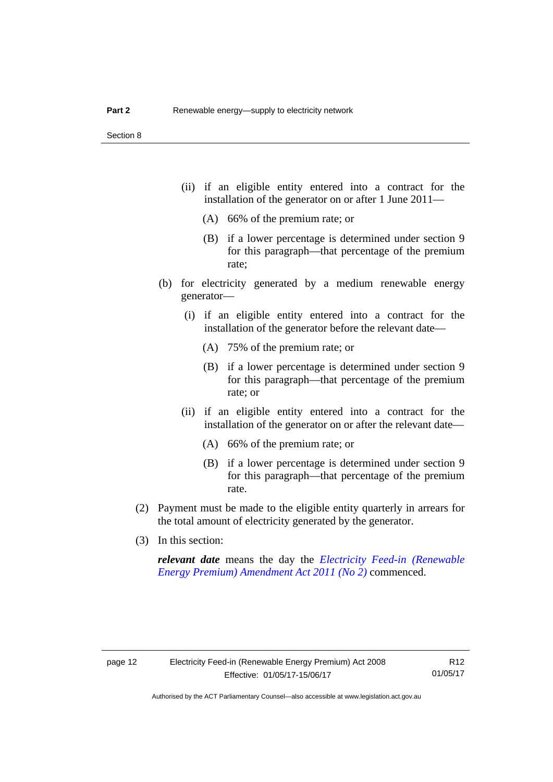- (ii) if an eligible entity entered into a contract for the installation of the generator on or after 1 June 2011—
	- (A) 66% of the premium rate; or
	- (B) if a lower percentage is determined under section 9 for this paragraph—that percentage of the premium rate;
- (b) for electricity generated by a medium renewable energy generator—
	- (i) if an eligible entity entered into a contract for the installation of the generator before the relevant date—
		- (A) 75% of the premium rate; or
		- (B) if a lower percentage is determined under section 9 for this paragraph—that percentage of the premium rate; or
	- (ii) if an eligible entity entered into a contract for the installation of the generator on or after the relevant date—
		- (A) 66% of the premium rate; or
		- (B) if a lower percentage is determined under section 9 for this paragraph—that percentage of the premium rate.
- (2) Payment must be made to the eligible entity quarterly in arrears for the total amount of electricity generated by the generator.
- (3) In this section:

*relevant date* means the day the *[Electricity Feed-in \(Renewable](http://www.legislation.act.gov.au/a/2011-25)  [Energy Premium\) Amendment Act 2011 \(No 2\)](http://www.legislation.act.gov.au/a/2011-25)* commenced.

R12 01/05/17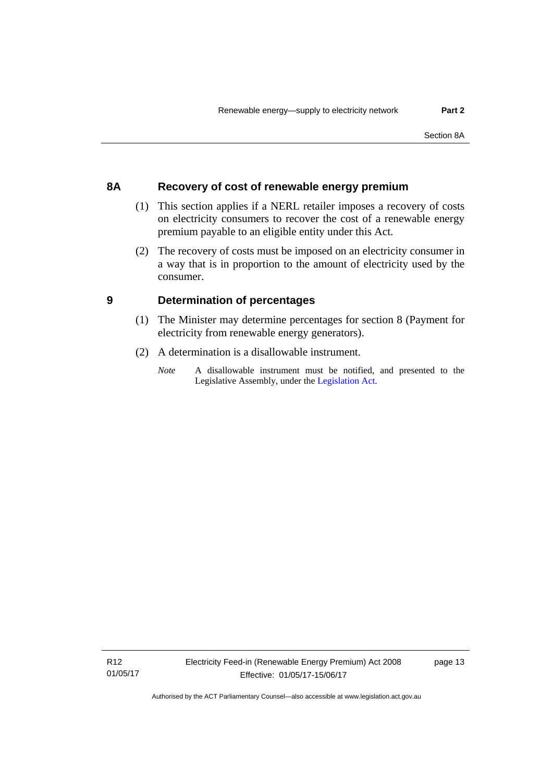#### <span id="page-18-0"></span>**8A Recovery of cost of renewable energy premium**

- (1) This section applies if a NERL retailer imposes a recovery of costs on electricity consumers to recover the cost of a renewable energy premium payable to an eligible entity under this Act.
- (2) The recovery of costs must be imposed on an electricity consumer in a way that is in proportion to the amount of electricity used by the consumer.

#### <span id="page-18-1"></span>**9 Determination of percentages**

- (1) The Minister may determine percentages for section 8 (Payment for electricity from renewable energy generators).
- (2) A determination is a disallowable instrument.
	- *Note* A disallowable instrument must be notified, and presented to the Legislative Assembly, under the [Legislation Act.](http://www.legislation.act.gov.au/a/2001-14)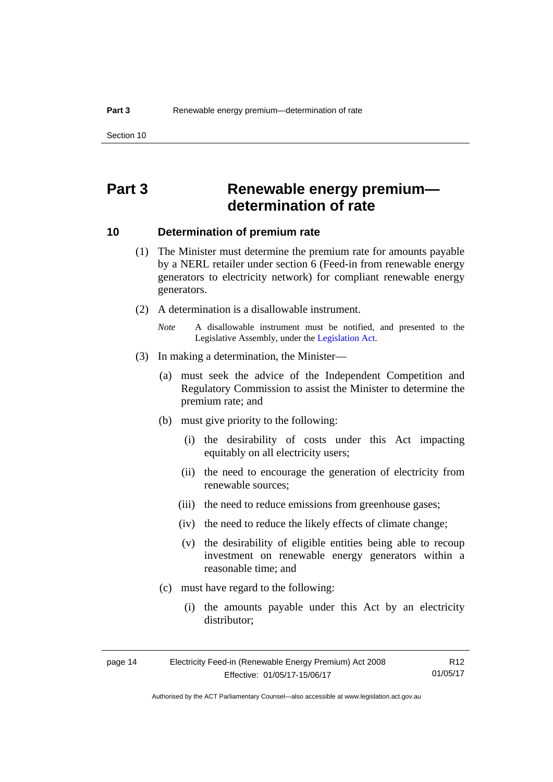### <span id="page-19-0"></span>**Part 3 Renewable energy premium determination of rate**

#### <span id="page-19-1"></span>**10 Determination of premium rate**

- (1) The Minister must determine the premium rate for amounts payable by a NERL retailer under section 6 (Feed-in from renewable energy generators to electricity network) for compliant renewable energy generators.
- (2) A determination is a disallowable instrument.
	- *Note* A disallowable instrument must be notified, and presented to the Legislative Assembly, under the [Legislation Act.](http://www.legislation.act.gov.au/a/2001-14)
- (3) In making a determination, the Minister—
	- (a) must seek the advice of the Independent Competition and Regulatory Commission to assist the Minister to determine the premium rate; and
	- (b) must give priority to the following:
		- (i) the desirability of costs under this Act impacting equitably on all electricity users;
		- (ii) the need to encourage the generation of electricity from renewable sources;
		- (iii) the need to reduce emissions from greenhouse gases;
		- (iv) the need to reduce the likely effects of climate change;
		- (v) the desirability of eligible entities being able to recoup investment on renewable energy generators within a reasonable time; and
	- (c) must have regard to the following:
		- (i) the amounts payable under this Act by an electricity distributor;

| page 14 | R12                          |          |
|---------|------------------------------|----------|
|         | Effective: 01/05/17-15/06/17 | 01/05/17 |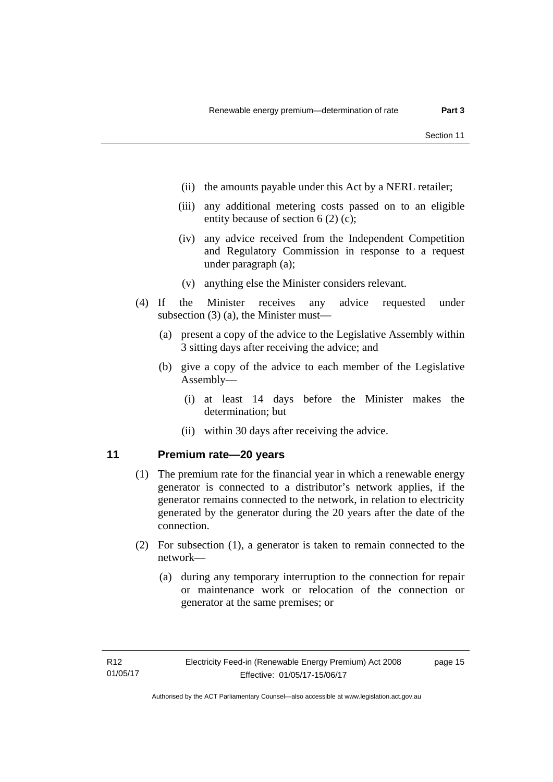- (ii) the amounts payable under this Act by a NERL retailer;
- (iii) any additional metering costs passed on to an eligible entity because of section 6 (2) (c);
- (iv) any advice received from the Independent Competition and Regulatory Commission in response to a request under paragraph (a);
- (v) anything else the Minister considers relevant.
- (4) If the Minister receives any advice requested under subsection (3) (a), the Minister must—
	- (a) present a copy of the advice to the Legislative Assembly within 3 sitting days after receiving the advice; and
	- (b) give a copy of the advice to each member of the Legislative Assembly—
		- (i) at least 14 days before the Minister makes the determination; but
		- (ii) within 30 days after receiving the advice.

#### <span id="page-20-0"></span>**11 Premium rate—20 years**

- (1) The premium rate for the financial year in which a renewable energy generator is connected to a distributor's network applies, if the generator remains connected to the network, in relation to electricity generated by the generator during the 20 years after the date of the connection.
- (2) For subsection (1), a generator is taken to remain connected to the network—
	- (a) during any temporary interruption to the connection for repair or maintenance work or relocation of the connection or generator at the same premises; or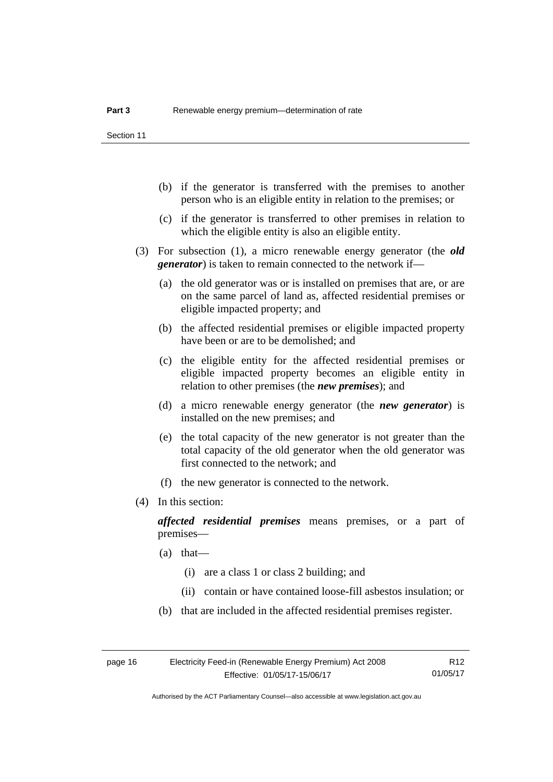- (b) if the generator is transferred with the premises to another person who is an eligible entity in relation to the premises; or
- (c) if the generator is transferred to other premises in relation to which the eligible entity is also an eligible entity.
- (3) For subsection (1), a micro renewable energy generator (the *old generator*) is taken to remain connected to the network if—
	- (a) the old generator was or is installed on premises that are, or are on the same parcel of land as, affected residential premises or eligible impacted property; and
	- (b) the affected residential premises or eligible impacted property have been or are to be demolished; and
	- (c) the eligible entity for the affected residential premises or eligible impacted property becomes an eligible entity in relation to other premises (the *new premises*); and
	- (d) a micro renewable energy generator (the *new generator*) is installed on the new premises; and
	- (e) the total capacity of the new generator is not greater than the total capacity of the old generator when the old generator was first connected to the network; and
	- (f) the new generator is connected to the network.
- (4) In this section:

*affected residential premises* means premises, or a part of premises—

- (a) that—
	- (i) are a class 1 or class 2 building; and
	- (ii) contain or have contained loose-fill asbestos insulation; or
- (b) that are included in the affected residential premises register.

R12 01/05/17

Authorised by the ACT Parliamentary Counsel—also accessible at www.legislation.act.gov.au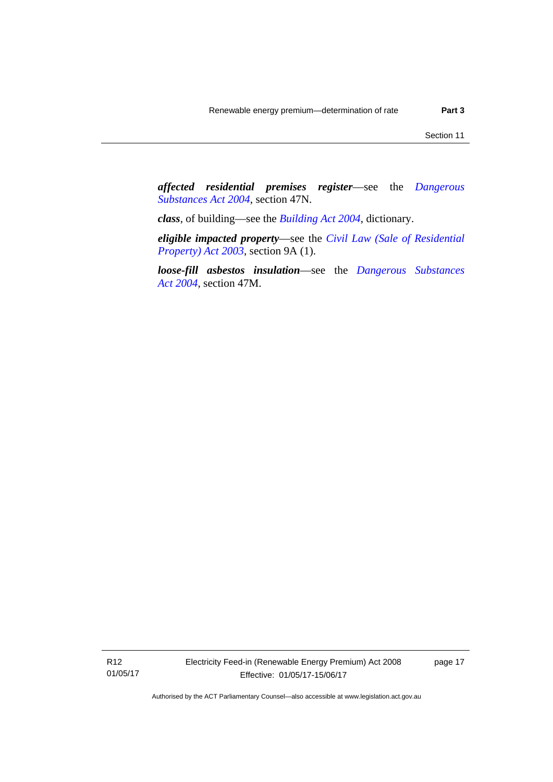*affected residential premises register*—see the *[Dangerous](http://www.legislation.act.gov.au/a/2004-7)  [Substances Act 2004](http://www.legislation.act.gov.au/a/2004-7)*, section 47N.

*class*, of building—see the *[Building Act 2004](http://www.legislation.act.gov.au/a/2004-11)*, dictionary.

*eligible impacted property*—see the *[Civil Law \(Sale of Residential](http://www.legislation.act.gov.au/a/2003-40)  [Property\) Act 2003](http://www.legislation.act.gov.au/a/2003-40)*, section 9A (1).

*loose-fill asbestos insulation*—see the *[Dangerous Substances](http://www.legislation.act.gov.au/a/2004-7)  [Act 2004](http://www.legislation.act.gov.au/a/2004-7)*, section 47M.

R12 01/05/17 Electricity Feed-in (Renewable Energy Premium) Act 2008 Effective: 01/05/17-15/06/17

page 17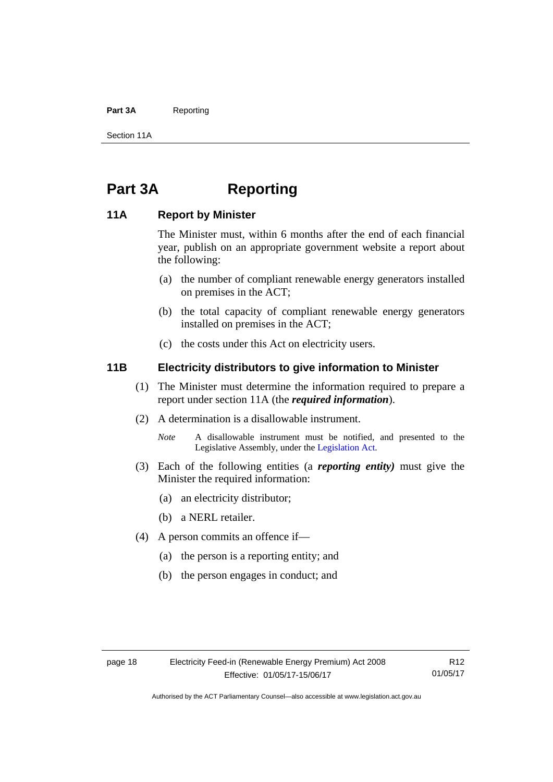#### Part 3A Reporting

Section 11A

### <span id="page-23-0"></span>**Part 3A Reporting**

#### <span id="page-23-1"></span>**11A Report by Minister**

The Minister must, within 6 months after the end of each financial year, publish on an appropriate government website a report about the following:

- (a) the number of compliant renewable energy generators installed on premises in the ACT;
- (b) the total capacity of compliant renewable energy generators installed on premises in the ACT;
- (c) the costs under this Act on electricity users.

#### <span id="page-23-2"></span>**11B Electricity distributors to give information to Minister**

- (1) The Minister must determine the information required to prepare a report under section 11A (the *required information*).
- (2) A determination is a disallowable instrument.
	- *Note* A disallowable instrument must be notified, and presented to the Legislative Assembly, under the [Legislation Act.](http://www.legislation.act.gov.au/a/2001-14)
- (3) Each of the following entities (a *reporting entity)* must give the Minister the required information:
	- (a) an electricity distributor;
	- (b) a NERL retailer.
- (4) A person commits an offence if—
	- (a) the person is a reporting entity; and
	- (b) the person engages in conduct; and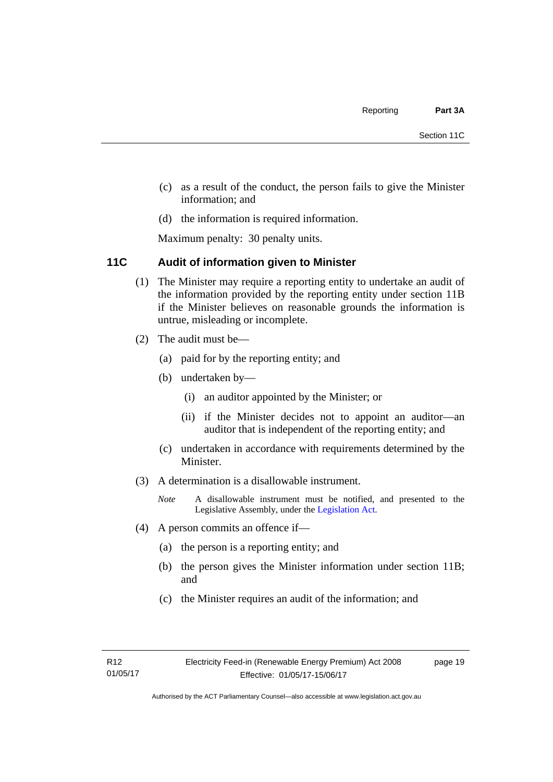- (c) as a result of the conduct, the person fails to give the Minister information; and
- (d) the information is required information.

Maximum penalty: 30 penalty units.

#### <span id="page-24-0"></span>**11C Audit of information given to Minister**

- (1) The Minister may require a reporting entity to undertake an audit of the information provided by the reporting entity under section 11B if the Minister believes on reasonable grounds the information is untrue, misleading or incomplete.
- (2) The audit must be—
	- (a) paid for by the reporting entity; and
	- (b) undertaken by—
		- (i) an auditor appointed by the Minister; or
		- (ii) if the Minister decides not to appoint an auditor—an auditor that is independent of the reporting entity; and
	- (c) undertaken in accordance with requirements determined by the Minister.
- (3) A determination is a disallowable instrument.
	- *Note* A disallowable instrument must be notified, and presented to the Legislative Assembly, under the [Legislation Act.](http://www.legislation.act.gov.au/a/2001-14)
- (4) A person commits an offence if—
	- (a) the person is a reporting entity; and
	- (b) the person gives the Minister information under section 11B; and
	- (c) the Minister requires an audit of the information; and

page 19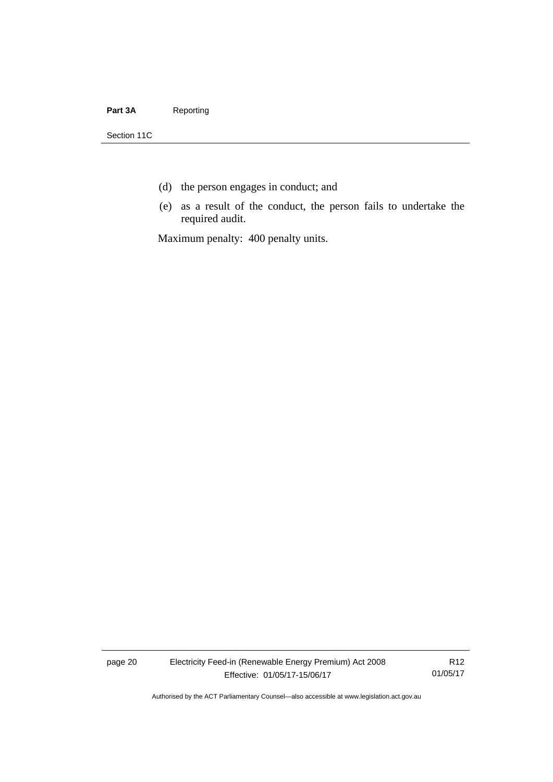#### Part 3A Reporting

Section 11C

- (d) the person engages in conduct; and
- (e) as a result of the conduct, the person fails to undertake the required audit.

Maximum penalty: 400 penalty units.

page 20 Electricity Feed-in (Renewable Energy Premium) Act 2008 Effective: 01/05/17-15/06/17

R12 01/05/17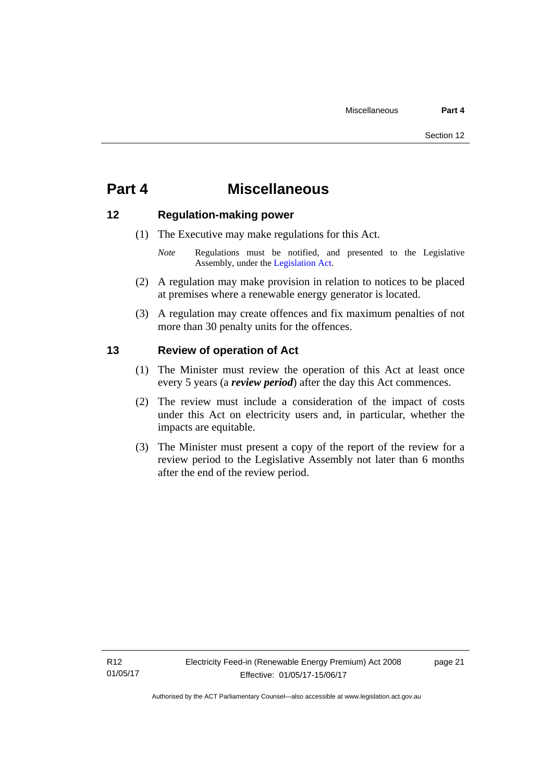### <span id="page-26-0"></span>**Part 4 Miscellaneous**

#### <span id="page-26-1"></span>**12 Regulation-making power**

- (1) The Executive may make regulations for this Act.
	- *Note* Regulations must be notified, and presented to the Legislative Assembly, under the [Legislation Act](http://www.legislation.act.gov.au/a/2001-14).
- (2) A regulation may make provision in relation to notices to be placed at premises where a renewable energy generator is located.
- (3) A regulation may create offences and fix maximum penalties of not more than 30 penalty units for the offences.

#### <span id="page-26-2"></span>**13 Review of operation of Act**

- (1) The Minister must review the operation of this Act at least once every 5 years (a *review period*) after the day this Act commences.
- (2) The review must include a consideration of the impact of costs under this Act on electricity users and, in particular, whether the impacts are equitable.
- (3) The Minister must present a copy of the report of the review for a review period to the Legislative Assembly not later than 6 months after the end of the review period.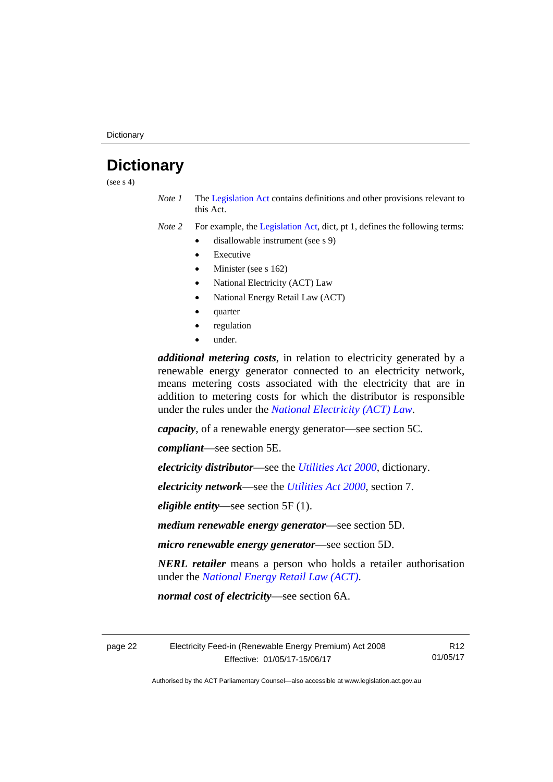## <span id="page-27-0"></span>**Dictionary**

(see  $s$  4)

*Note 1* The [Legislation Act](http://www.legislation.act.gov.au/a/2001-14) contains definitions and other provisions relevant to this Act.

*Note 2* For example, the [Legislation Act,](http://www.legislation.act.gov.au/a/2001-14) dict, pt 1, defines the following terms:

- disallowable instrument (see s 9)
	- Executive
	- Minister (see s 162)
	- National Electricity (ACT) Law
	- National Energy Retail Law (ACT)
	- quarter
	- regulation
	- under.

*additional metering costs*, in relation to electricity generated by a renewable energy generator connected to an electricity network, means metering costs associated with the electricity that are in addition to metering costs for which the distributor is responsible under the rules under the *[National Electricity \(ACT\) Law](http://www.legislation.act.gov.au/a/1997-79/default.asp)*.

*capacity*, of a renewable energy generator—see section 5C.

*compliant*—see section 5E.

*electricity distributor*—see the *[Utilities Act 2000](http://www.legislation.act.gov.au/a/2000-65)*, dictionary.

*electricity network*—see the *[Utilities Act 2000](http://www.legislation.act.gov.au/a/2000-65)*, section 7.

*eligible entity—*see section 5F (1).

*medium renewable energy generator*—see section 5D.

*micro renewable energy generator*—see section 5D.

*NERL retailer* means a person who holds a retailer authorisation under the *[National Energy Retail Law \(ACT\)](http://www.legislation.act.gov.au/a/2012-31/default.asp)*.

*normal cost of electricity*—see section 6A.

page 22 Electricity Feed-in (Renewable Energy Premium) Act 2008 Effective: 01/05/17-15/06/17

R12 01/05/17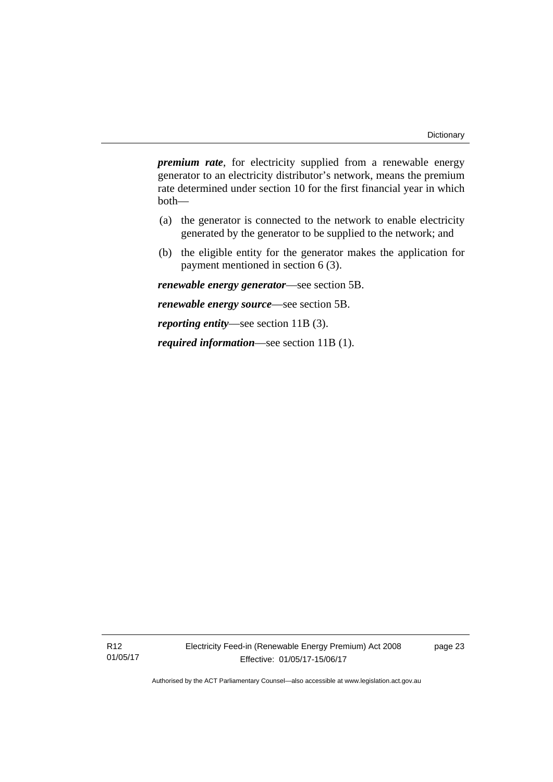*premium rate*, for electricity supplied from a renewable energy generator to an electricity distributor's network, means the premium rate determined under section 10 for the first financial year in which both—

- (a) the generator is connected to the network to enable electricity generated by the generator to be supplied to the network; and
- (b) the eligible entity for the generator makes the application for payment mentioned in section 6 (3).

*renewable energy generator*—see section 5B.

*renewable energy source*—see section 5B.

*reporting entity*—see section 11B (3).

*required information*—see section 11B (1).

R12 01/05/17 Electricity Feed-in (Renewable Energy Premium) Act 2008 Effective: 01/05/17-15/06/17

page 23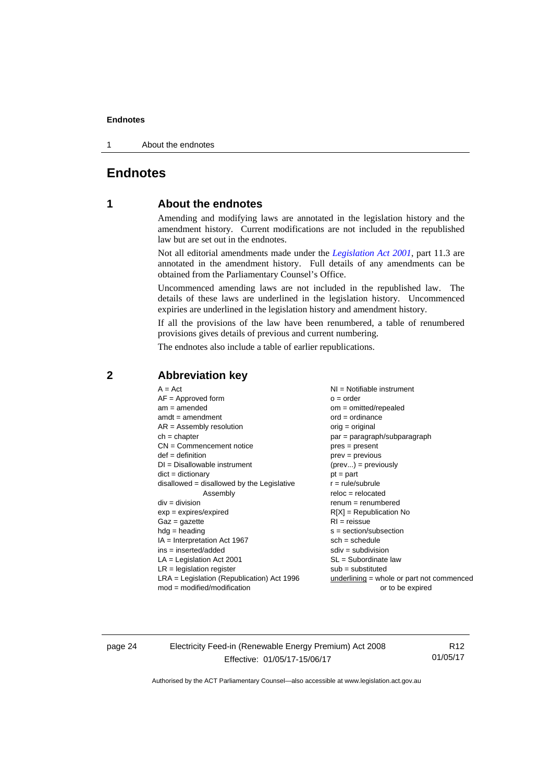1 About the endnotes

#### <span id="page-29-0"></span>**Endnotes**

#### **1 About the endnotes**

Amending and modifying laws are annotated in the legislation history and the amendment history. Current modifications are not included in the republished law but are set out in the endnotes.

Not all editorial amendments made under the *[Legislation Act 2001](http://www.legislation.act.gov.au/a/2001-14)*, part 11.3 are annotated in the amendment history. Full details of any amendments can be obtained from the Parliamentary Counsel's Office.

Uncommenced amending laws are not included in the republished law. The details of these laws are underlined in the legislation history. Uncommenced expiries are underlined in the legislation history and amendment history.

If all the provisions of the law have been renumbered, a table of renumbered provisions gives details of previous and current numbering.

The endnotes also include a table of earlier republications.

#### <span id="page-29-2"></span>**2 Abbreviation key**

page 24 Electricity Feed-in (Renewable Energy Premium) Act 2008 Effective: 01/05/17-15/06/17

R12 01/05/17

<span id="page-29-1"></span>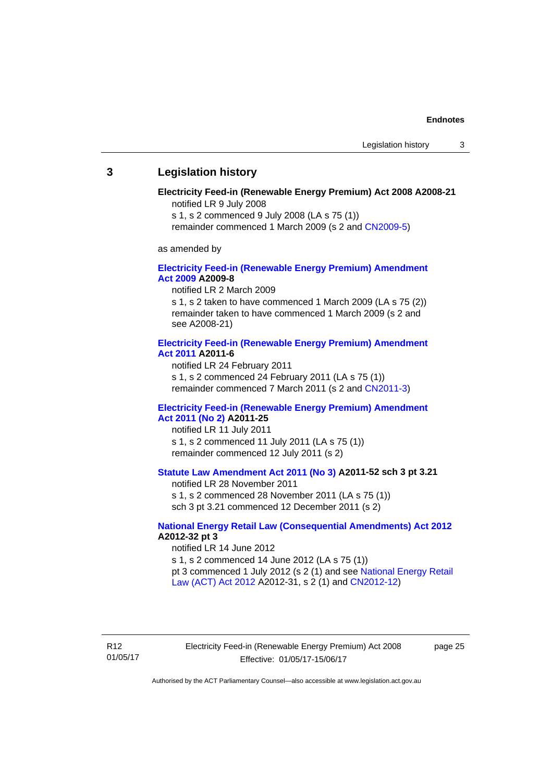#### <span id="page-30-0"></span>**3 Legislation history**

#### **Electricity Feed-in (Renewable Energy Premium) Act 2008 A2008-21**  notified LR 9 July 2008

s 1, s 2 commenced 9 July 2008 (LA s 75 (1))

remainder commenced 1 March 2009 (s 2 and [CN2009-5\)](http://www.legislation.act.gov.au/cn/2009-5/default.asp)

as amended by

#### **[Electricity Feed-in \(Renewable Energy Premium\) Amendment](http://www.legislation.act.gov.au/a/2009-8)  [Act 2009](http://www.legislation.act.gov.au/a/2009-8) A2009-8**

notified LR 2 March 2009

s 1, s 2 taken to have commenced 1 March 2009 (LA s 75 (2)) remainder taken to have commenced 1 March 2009 (s 2 and see A2008-21)

#### **[Electricity Feed-in \(Renewable Energy Premium\) Amendment](http://www.legislation.act.gov.au/a/2011-6)  [Act 2011](http://www.legislation.act.gov.au/a/2011-6) A2011-6**

notified LR 24 February 2011 s 1, s 2 commenced 24 February 2011 (LA s 75 (1)) remainder commenced 7 March 2011 (s 2 and [CN2011-3\)](http://www.legislation.act.gov.au/cn/2011-3/default.asp)

#### **[Electricity Feed-in \(Renewable Energy Premium\) Amendment](http://www.legislation.act.gov.au/a/2011-25)  [Act 2011 \(No 2\)](http://www.legislation.act.gov.au/a/2011-25) A2011-25**

notified LR 11 July 2011 s 1, s 2 commenced 11 July 2011 (LA s 75 (1)) remainder commenced 12 July 2011 (s 2)

#### **[Statute Law Amendment Act 2011 \(No 3\)](http://www.legislation.act.gov.au/a/2011-52) A2011-52 sch 3 pt 3.21**

notified LR 28 November 2011

s 1, s 2 commenced 28 November 2011 (LA s 75 (1)) sch 3 pt 3.21 commenced 12 December 2011 (s 2)

#### **[National Energy Retail Law \(Consequential Amendments\) Act 2012](http://www.legislation.act.gov.au/a/2012-32) A2012-32 pt 3**

notified LR 14 June 2012 s 1, s 2 commenced 14 June 2012 (LA s 75 (1)) pt 3 commenced 1 July 2012 (s 2 (1) and see [National Energy Retail](http://www.legislation.act.gov.au/a/2012-31)  [Law \(ACT\) Act 2012](http://www.legislation.act.gov.au/a/2012-31) A2012-31, s 2 (1) and [CN2012-12\)](http://www.legislation.act.gov.au/cn/2012-12/default.asp)

R12 01/05/17 Electricity Feed-in (Renewable Energy Premium) Act 2008 Effective: 01/05/17-15/06/17

page 25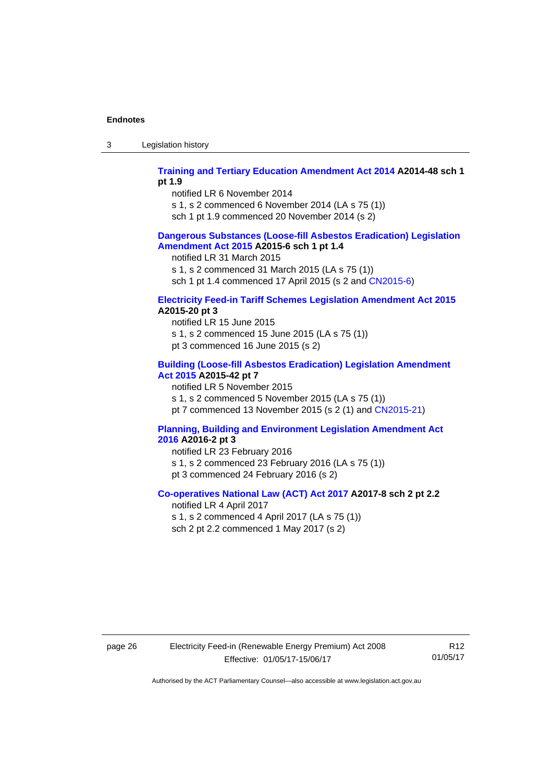3 Legislation history

#### **[Training and Tertiary Education Amendment Act 2014](http://www.legislation.act.gov.au/a/2014-48) A2014-48 sch 1 pt 1.9**

notified LR 6 November 2014

s 1, s 2 commenced 6 November 2014 (LA s 75 (1))

sch 1 pt 1.9 commenced 20 November 2014 (s 2)

#### **[Dangerous Substances \(Loose-fill Asbestos Eradication\) Legislation](http://www.legislation.act.gov.au/a/2015-6/default.asp)  [Amendment Act 2015](http://www.legislation.act.gov.au/a/2015-6/default.asp) A2015-6 sch 1 pt 1.4**

notified LR 31 March 2015

s 1, s 2 commenced 31 March 2015 (LA s 75 (1))

sch 1 pt 1.4 commenced 17 April 2015 (s 2 and [CN2015-6\)](http://www.legislation.act.gov.au/cn/2015-6/default.asp)

#### **[Electricity Feed-in Tariff Schemes Legislation Amendment Act 2015](http://www.legislation.act.gov.au/a/2015-20/default.asp) A2015-20 pt 3**

notified LR 15 June 2015 s 1, s 2 commenced 15 June 2015 (LA s 75 (1)) pt 3 commenced 16 June 2015 (s 2)

#### **[Building \(Loose-fill Asbestos Eradication\) Legislation Amendment](http://www.legislation.act.gov.au/a/2015-42/default.asp)  [Act 2015](http://www.legislation.act.gov.au/a/2015-42/default.asp) A2015-42 pt 7**

notified LR 5 November 2015

s 1, s 2 commenced 5 November 2015 (LA s 75 (1))

pt 7 commenced 13 November 2015 (s 2 (1) and [CN2015-21\)](http://www.legislation.act.gov.au/cn/2015-21/default.asp)

#### **[Planning, Building and Environment Legislation Amendment Act](http://www.legislation.act.gov.au/a/2016-2/default.asp)  [2016](http://www.legislation.act.gov.au/a/2016-2/default.asp) A2016-2 pt 3**

notified LR 23 February 2016 s 1, s 2 commenced 23 February 2016 (LA s 75 (1)) pt 3 commenced 24 February 2016 (s 2)

#### **[Co-operatives National Law \(ACT\) Act 2017](http://www.legislation.act.gov.au/a/2017-8/default.asp) A2017-8 sch 2 pt 2.2**

notified LR 4 April 2017 s 1, s 2 commenced 4 April 2017 (LA s 75 (1)) sch 2 pt 2.2 commenced 1 May 2017 (s 2)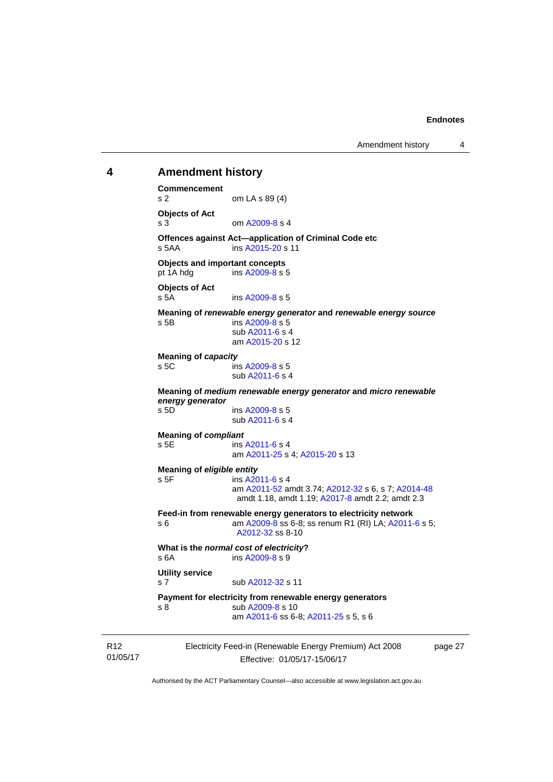#### <span id="page-32-0"></span>01/05/17 Electricity Feed-in (Renewable Energy Premium) Act 2008 Effective: 01/05/17-15/06/17 **4 Amendment history Commencement**  s 2 om LA s 89 (4) **Objects of Act**  s 3 om [A2009-8](http://www.legislation.act.gov.au/a/2009-8) s 4 **Offences against Act—application of Criminal Code etc**  s 5AA ins [A2015-20](http://www.legislation.act.gov.au/a/2015-20) s 11 **Objects and important concepts**  pt 1A hdg ins [A2009-8](http://www.legislation.act.gov.au/a/2009-8) s 5 **Objects of Act**  s 5A ins [A2009-8](http://www.legislation.act.gov.au/a/2009-8) s 5 **Meaning of** *renewable energy generator* **and** *renewable energy source* s 5B ins [A2009-8](http://www.legislation.act.gov.au/a/2009-8) s 5 sub [A2011-6](http://www.legislation.act.gov.au/a/2011-6) s 4 am [A2015-20](http://www.legislation.act.gov.au/a/2015-20) s 12 **Meaning of** *capacity* s 5C ins [A2009-8](http://www.legislation.act.gov.au/a/2009-8) s 5 sub [A2011-6](http://www.legislation.act.gov.au/a/2011-6) s 4 **Meaning of** *medium renewable energy generator* **and** *micro renewable energy generator* s 5D ins [A2009-8](http://www.legislation.act.gov.au/a/2009-8) s 5 sub [A2011-6](http://www.legislation.act.gov.au/a/2011-6) s 4 **Meaning of** *compliant* s 5E ins [A2011-6](http://www.legislation.act.gov.au/a/2011-6) s 4 am [A2011-25](http://www.legislation.act.gov.au/a/2011-25) s 4; [A2015-20](http://www.legislation.act.gov.au/a/2015-20) s 13 **Meaning of** *eligible entity* s 5F ins [A2011-6](http://www.legislation.act.gov.au/a/2011-6) s 4 am [A2011-52](http://www.legislation.act.gov.au/a/2011-52) amdt 3.74; [A2012-32](http://www.legislation.act.gov.au/a/2012-32) s 6, s 7; [A2014-48](http://www.legislation.act.gov.au/a/2014-48) amdt 1.18, amdt 1.19; [A2017-8](http://www.legislation.act.gov.au/a/2017-8/default.asp) amdt 2.2; amdt 2.3 **Feed-in from renewable energy generators to electricity network**  s 6 **am A2009-8** ss 6-8; ss renum R1 (RI) LA; [A2011-6](http://www.legislation.act.gov.au/a/2011-6) s 5; [A2012-32](http://www.legislation.act.gov.au/a/2012-32) ss 8-10 **What is the** *normal cost of electricity***?**  s 6A ins [A2009-8](http://www.legislation.act.gov.au/a/2009-8) s 9 **Utility service**  s 7 sub [A2012-32](http://www.legislation.act.gov.au/a/2012-32) s 11 **Payment for electricity from renewable energy generators**  s 8 sub [A2009-8](http://www.legislation.act.gov.au/a/2009-8) s 10 am [A2011-6](http://www.legislation.act.gov.au/a/2011-6) ss 6-8; [A2011-25](http://www.legislation.act.gov.au/a/2011-25) s 5, s 6

page 27

Authorised by the ACT Parliamentary Counsel—also accessible at www.legislation.act.gov.au

R12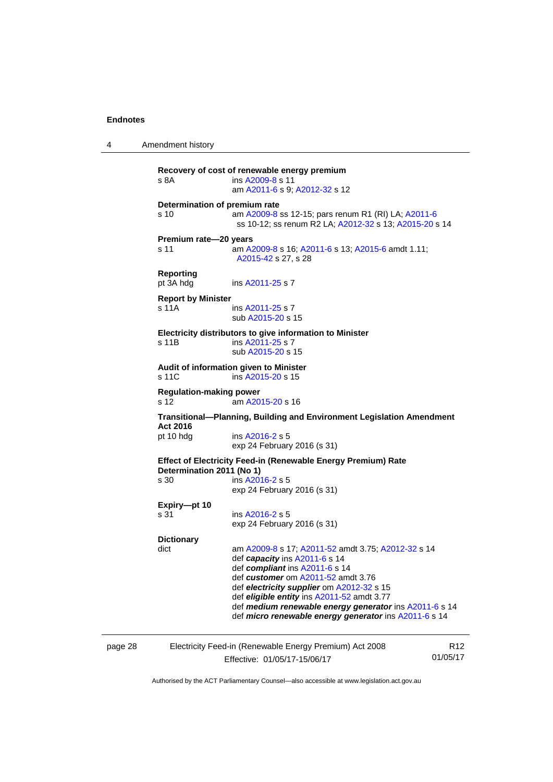4 Amendment history **Recovery of cost of renewable energy premium**  s 8A **ins [A2009-8](http://www.legislation.act.gov.au/a/2009-8) s** 11 am [A2011-6](http://www.legislation.act.gov.au/a/2011-6) s 9; [A2012-32](http://www.legislation.act.gov.au/a/2012-32) s 12 **Determination of premium rate**  s 10 am [A2009-8](http://www.legislation.act.gov.au/a/2009-8) ss 12-15; pars renum R1 (RI) LA; [A2011-6](http://www.legislation.act.gov.au/a/2011-6) ss 10-12; ss renum R2 LA; [A2012-32](http://www.legislation.act.gov.au/a/2012-32) s 13; [A2015-20](http://www.legislation.act.gov.au/a/2015-20) s 14 **Premium rate—20 years**  s 11 am [A2009-8](http://www.legislation.act.gov.au/a/2009-8) s 16; [A2011-6](http://www.legislation.act.gov.au/a/2011-6) s 13; [A2015-6](http://www.legislation.act.gov.au/a/2015-6) amdt 1.11; [A2015-42](http://www.legislation.act.gov.au/a/2015-42) s 27, s 28 **Reporting**  pt 3A hdg ins [A2011-25](http://www.legislation.act.gov.au/a/2011-25) s 7 **Report by Minister**  s 11A ins [A2011-25](http://www.legislation.act.gov.au/a/2011-25) s 7 sub [A2015-20](http://www.legislation.act.gov.au/a/2015-20) s 15 **Electricity distributors to give information to Minister**  s 11B ins [A2011-25](http://www.legislation.act.gov.au/a/2011-25) s 7 sub [A2015-20](http://www.legislation.act.gov.au/a/2015-20) s 15 **Audit of information given to Minister**  s 11C ins [A2015-20](http://www.legislation.act.gov.au/a/2015-20) s 15 **Regulation-making power**  s 12 am [A2015-20](http://www.legislation.act.gov.au/a/2015-20) s 16 **Transitional—Planning, Building and Environment Legislation Amendment Act 2016**  pt 10 hdg ins [A2016-2](http://www.legislation.act.gov.au/a/2016-2/default.asp) s 5 exp 24 February 2016 (s 31) **Effect of Electricity Feed-in (Renewable Energy Premium) Rate Determination 2011 (No 1)**  s 30 ins [A2016-2](http://www.legislation.act.gov.au/a/2016-2/default.asp) s 5 exp 24 February 2016 (s 31) **Expiry—pt 10**  s 31 ins [A2016-2](http://www.legislation.act.gov.au/a/2016-2/default.asp) s 5 exp 24 February 2016 (s 31) **Dictionary**  dict am [A2009-8](http://www.legislation.act.gov.au/a/2009-8) s 17; [A2011-52](http://www.legislation.act.gov.au/a/2011-52) amdt 3.75; [A2012-32](http://www.legislation.act.gov.au/a/2012-32) s 14 def *capacity* ins [A2011-6](http://www.legislation.act.gov.au/a/2011-6) s 14 def *compliant* ins [A2011-6](http://www.legislation.act.gov.au/a/2011-6) s 14 def *customer* om [A2011-52](http://www.legislation.act.gov.au/a/2011-52) amdt 3.76 def *electricity supplier* om [A2012-32](http://www.legislation.act.gov.au/a/2012-32) s 15 def *eligible entity* ins [A2011-52](http://www.legislation.act.gov.au/a/2011-52) amdt 3.77 def *medium renewable energy generator* ins [A2011-6](http://www.legislation.act.gov.au/a/2011-6) s 14 def *micro renewable energy generator* ins [A2011-6](http://www.legislation.act.gov.au/a/2011-6) s 14

page 28 Electricity Feed-in (Renewable Energy Premium) Act 2008 Effective: 01/05/17-15/06/17

R12 01/05/17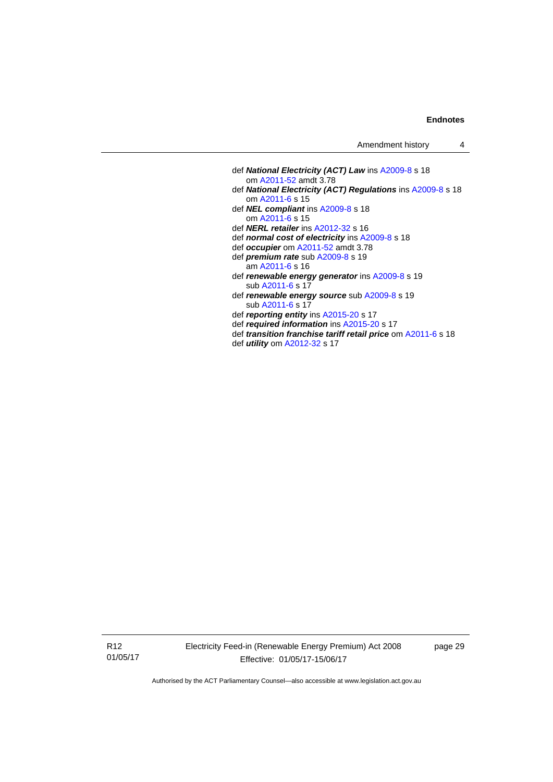| Amendment history |  |
|-------------------|--|
|-------------------|--|

- def *National Electricity (ACT) Law* ins [A2009-8](http://www.legislation.act.gov.au/a/2009-8) s 18 om [A2011-52](http://www.legislation.act.gov.au/a/2011-52) amdt 3.78 def *National Electricity (ACT) Regulations* ins [A2009-8](http://www.legislation.act.gov.au/a/2009-8) s 18 om [A2011-6](http://www.legislation.act.gov.au/a/2011-6) s 15 def *NEL compliant* ins [A2009-8](http://www.legislation.act.gov.au/a/2009-8) s 18 om [A2011-6](http://www.legislation.act.gov.au/a/2011-6) s 15 def *NERL retailer* ins [A2012-32](http://www.legislation.act.gov.au/a/2012-32) s 16 def *normal cost of electricity* ins [A2009-8](http://www.legislation.act.gov.au/a/2009-8) s 18 def *occupier* om [A2011-52](http://www.legislation.act.gov.au/a/2011-52) amdt 3.78 def *premium rate* sub [A2009-8](http://www.legislation.act.gov.au/a/2009-8) s 19 am [A2011-6](http://www.legislation.act.gov.au/a/2011-6) s 16 def *renewable energy generator* ins [A2009-8](http://www.legislation.act.gov.au/a/2009-8) s 19 sub [A2011-6](http://www.legislation.act.gov.au/a/2011-6) s 17 def *renewable energy source* sub [A2009-8](http://www.legislation.act.gov.au/a/2009-8) s 19 sub [A2011-6](http://www.legislation.act.gov.au/a/2011-6) s 17 def *reporting entity* ins [A2015-20](http://www.legislation.act.gov.au/a/2015-20) s 17
- def *required information* ins [A2015-20](http://www.legislation.act.gov.au/a/2015-20) s 17
- 
- def *transition franchise tariff retail price* om [A2011-6](http://www.legislation.act.gov.au/a/2011-6) s 18 def *utility* om [A2012-32](http://www.legislation.act.gov.au/a/2012-32) s 17

R12 01/05/17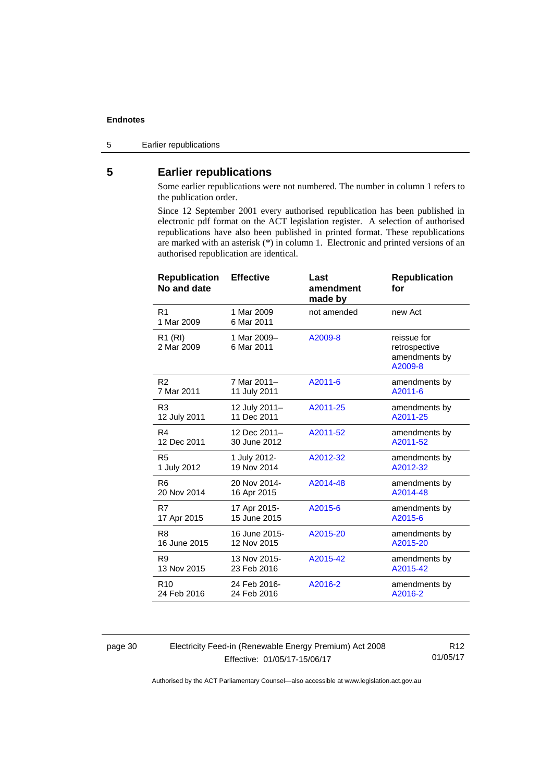5 Earlier republications

#### <span id="page-35-0"></span>**5 Earlier republications**

Some earlier republications were not numbered. The number in column 1 refers to the publication order.

Since 12 September 2001 every authorised republication has been published in electronic pdf format on the ACT legislation register. A selection of authorised republications have also been published in printed format. These republications are marked with an asterisk (\*) in column 1. Electronic and printed versions of an authorised republication are identical.

| <b>Republication</b><br>No and date | <b>Effective</b>          | Last<br>amendment<br>made by | <b>Republication</b><br>for                              |
|-------------------------------------|---------------------------|------------------------------|----------------------------------------------------------|
| R <sub>1</sub><br>1 Mar 2009        | 1 Mar 2009<br>6 Mar 2011  | not amended                  | new Act                                                  |
| R <sub>1</sub> (RI)<br>2 Mar 2009   | 1 Mar 2009-<br>6 Mar 2011 | A2009-8                      | reissue for<br>retrospective<br>amendments by<br>A2009-8 |
| R <sub>2</sub>                      | 7 Mar 2011-               | A2011-6                      | amendments by                                            |
| 7 Mar 2011                          | 11 July 2011              |                              | A2011-6                                                  |
| R <sub>3</sub>                      | 12 July 2011-             | A2011-25                     | amendments by                                            |
| 12 July 2011                        | 11 Dec 2011               |                              | A2011-25                                                 |
| R <sub>4</sub>                      | 12 Dec 2011-              | A2011-52                     | amendments by                                            |
| 12 Dec 2011                         | 30 June 2012              |                              | A2011-52                                                 |
| R <sub>5</sub>                      | 1 July 2012-              | A2012-32                     | amendments by                                            |
| 1 July 2012                         | 19 Nov 2014               |                              | A2012-32                                                 |
| R <sub>6</sub>                      | 20 Nov 2014-              | A2014-48                     | amendments by                                            |
| 20 Nov 2014                         | 16 Apr 2015               |                              | A2014-48                                                 |
| R7                                  | 17 Apr 2015-              | A2015-6                      | amendments by                                            |
| 17 Apr 2015                         | 15 June 2015              |                              | A2015-6                                                  |
| R <sub>8</sub>                      | 16 June 2015-             | A2015-20                     | amendments by                                            |
| 16 June 2015                        | 12 Nov 2015               |                              | A2015-20                                                 |
| R <sub>9</sub>                      | 13 Nov 2015-              | A2015-42                     | amendments by                                            |
| 13 Nov 2015                         | 23 Feb 2016               |                              | A2015-42                                                 |
| R <sub>10</sub>                     | 24 Feb 2016-              | A2016-2                      | amendments by                                            |
| 24 Feb 2016                         | 24 Feb 2016               |                              | A2016-2                                                  |

page 30 Electricity Feed-in (Renewable Energy Premium) Act 2008 Effective: 01/05/17-15/06/17

R12 01/05/17